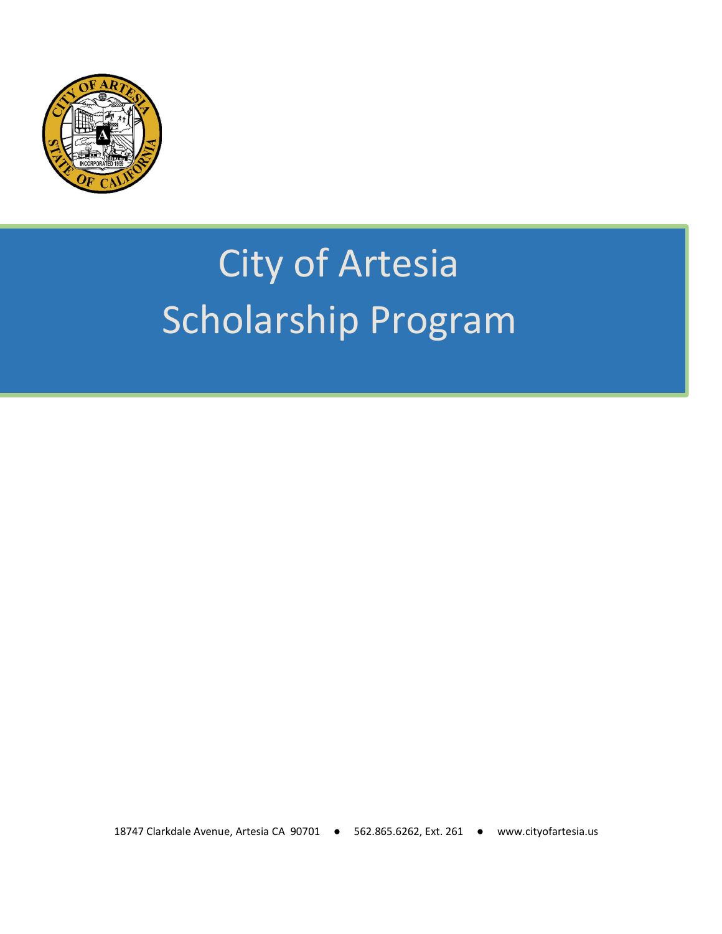

## City of Artesia Scholarship Program

18747 Clarkdale Avenue, Artesia CA 90701 ● 562.865.6262, Ext. 261 ● www.cityofartesia.us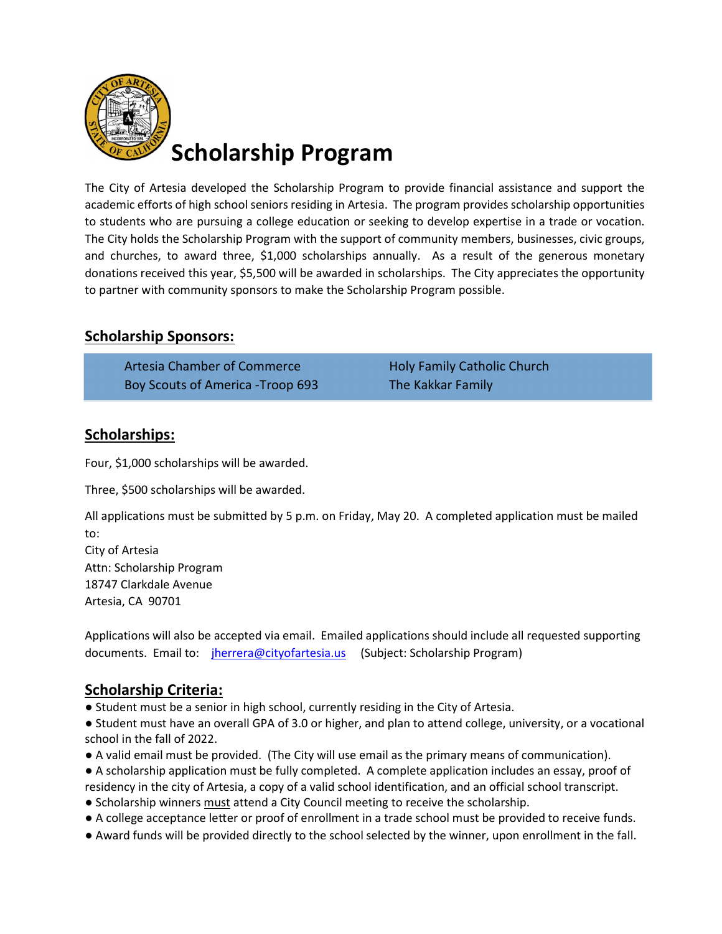

The City of Artesia developed the Scholarship Program to provide financial assistance and support the academic efforts of high school seniors residing in Artesia. The program provides scholarship opportunities to students who are pursuing a college education or seeking to develop expertise in a trade or vocation. The City holds the Scholarship Program with the support of community members, businesses, civic groups, and churches, to award three, \$1,000 scholarships annually. As a result of the generous monetary donations received this year, \$5,500 will be awarded in scholarships. The City appreciates the opportunity to partner with community sponsors to make the Scholarship Program possible.

## Scholarship Sponsors:

Artesia Chamber of Commerce Holy Family Catholic Church Boy Scouts of America -Troop 693 The Kakkar Family

## Scholarships:

Four, \$1,000 scholarships will be awarded.

Three, \$500 scholarships will be awarded.

All applications must be submitted by 5 p.m. on Friday, May 20. A completed application must be mailed to:

City of Artesia Attn: Scholarship Program 18747 Clarkdale Avenue Artesia, CA 90701

Applications will also be accepted via email. Emailed applications should include all requested supporting documents. Email to: *jherrera@cityofartesia.us* (Subject: Scholarship Program)

## Scholarship Criteria:

● Student must be a senior in high school, currently residing in the City of Artesia.

● Student must have an overall GPA of 3.0 or higher, and plan to attend college, university, or a vocational school in the fall of 2022.

- A valid email must be provided. (The City will use email as the primary means of communication).
- A scholarship application must be fully completed. A complete application includes an essay, proof of residency in the city of Artesia, a copy of a valid school identification, and an official school transcript.
- Scholarship winners must attend a City Council meeting to receive the scholarship.
- A college acceptance letter or proof of enrollment in a trade school must be provided to receive funds.
- Award funds will be provided directly to the school selected by the winner, upon enrollment in the fall.